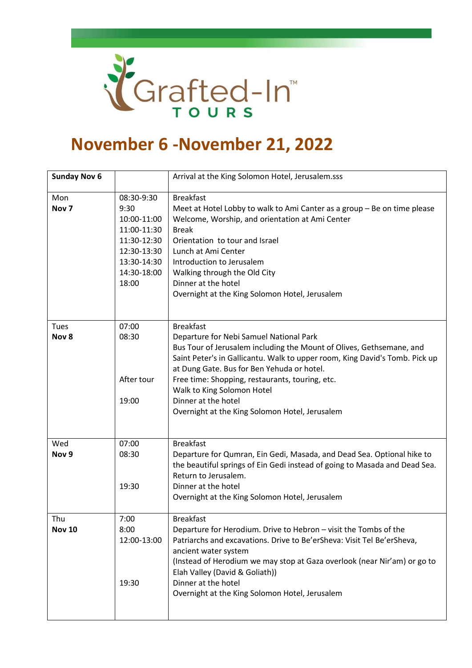

## **November 6 -November 21, 2022**

| <b>Sunday Nov 6</b>     |                                                                                                                       | Arrival at the King Solomon Hotel, Jerusalem.sss                                                                                                                                                                                                                                                                                                                                                                           |
|-------------------------|-----------------------------------------------------------------------------------------------------------------------|----------------------------------------------------------------------------------------------------------------------------------------------------------------------------------------------------------------------------------------------------------------------------------------------------------------------------------------------------------------------------------------------------------------------------|
| Mon<br>Nov <sub>7</sub> | 08:30-9:30<br>9:30<br>10:00-11:00<br>11:00-11:30<br>11:30-12:30<br>12:30-13:30<br>13:30-14:30<br>14:30-18:00<br>18:00 | <b>Breakfast</b><br>Meet at Hotel Lobby to walk to Ami Canter as a group - Be on time please<br>Welcome, Worship, and orientation at Ami Center<br><b>Break</b><br>Orientation to tour and Israel<br>Lunch at Ami Center<br>Introduction to Jerusalem<br>Walking through the Old City<br>Dinner at the hotel<br>Overnight at the King Solomon Hotel, Jerusalem                                                             |
| Tues<br>Nov 8           | 07:00<br>08:30<br>After tour<br>19:00                                                                                 | <b>Breakfast</b><br>Departure for Nebi Samuel National Park<br>Bus Tour of Jerusalem including the Mount of Olives, Gethsemane, and<br>Saint Peter's in Gallicantu. Walk to upper room, King David's Tomb. Pick up<br>at Dung Gate. Bus for Ben Yehuda or hotel.<br>Free time: Shopping, restaurants, touring, etc.<br>Walk to King Solomon Hotel<br>Dinner at the hotel<br>Overnight at the King Solomon Hotel, Jerusalem |
| Wed<br>Nov <sub>9</sub> | 07:00<br>08:30<br>19:30                                                                                               | <b>Breakfast</b><br>Departure for Qumran, Ein Gedi, Masada, and Dead Sea. Optional hike to<br>the beautiful springs of Ein Gedi instead of going to Masada and Dead Sea.<br>Return to Jerusalem.<br>Dinner at the hotel<br>Overnight at the King Solomon Hotel, Jerusalem                                                                                                                                                  |
| Thu<br><b>Nov 10</b>    | 7:00<br>8:00<br>12:00-13:00<br>19:30                                                                                  | <b>Breakfast</b><br>Departure for Herodium. Drive to Hebron - visit the Tombs of the<br>Patriarchs and excavations. Drive to Be'erSheva: Visit Tel Be'erSheva,<br>ancient water system<br>(Instead of Herodium we may stop at Gaza overlook (near Nir'am) or go to<br>Elah Valley (David & Goliath))<br>Dinner at the hotel<br>Overnight at the King Solomon Hotel, Jerusalem                                              |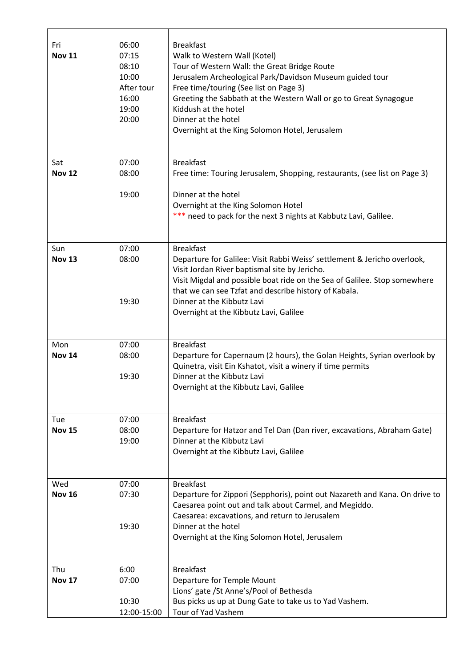| Fri<br><b>Nov 11</b> | 06:00<br>07:15<br>08:10<br>10:00<br>After tour<br>16:00<br>19:00<br>20:00 | <b>Breakfast</b><br>Walk to Western Wall (Kotel)<br>Tour of Western Wall: the Great Bridge Route<br>Jerusalem Archeological Park/Davidson Museum guided tour<br>Free time/touring (See list on Page 3)<br>Greeting the Sabbath at the Western Wall or go to Great Synagogue<br>Kiddush at the hotel<br>Dinner at the hotel<br>Overnight at the King Solomon Hotel, Jerusalem |
|----------------------|---------------------------------------------------------------------------|------------------------------------------------------------------------------------------------------------------------------------------------------------------------------------------------------------------------------------------------------------------------------------------------------------------------------------------------------------------------------|
| Sat<br><b>Nov 12</b> | 07:00<br>08:00<br>19:00                                                   | <b>Breakfast</b><br>Free time: Touring Jerusalem, Shopping, restaurants, (see list on Page 3)<br>Dinner at the hotel                                                                                                                                                                                                                                                         |
|                      |                                                                           | Overnight at the King Solomon Hotel<br>*** need to pack for the next 3 nights at Kabbutz Lavi, Galilee.                                                                                                                                                                                                                                                                      |
| Sun<br><b>Nov 13</b> | 07:00<br>08:00                                                            | <b>Breakfast</b><br>Departure for Galilee: Visit Rabbi Weiss' settlement & Jericho overlook,<br>Visit Jordan River baptismal site by Jericho.<br>Visit Migdal and possible boat ride on the Sea of Galilee. Stop somewhere<br>that we can see Tzfat and describe history of Kabala.                                                                                          |
|                      | 19:30                                                                     | Dinner at the Kibbutz Lavi<br>Overnight at the Kibbutz Lavi, Galilee                                                                                                                                                                                                                                                                                                         |
| Mon<br><b>Nov 14</b> | 07:00<br>08:00                                                            | <b>Breakfast</b><br>Departure for Capernaum (2 hours), the Golan Heights, Syrian overlook by                                                                                                                                                                                                                                                                                 |
|                      | 19:30                                                                     | Quinetra, visit Ein Kshatot, visit a winery if time permits<br>Dinner at the Kibbutz Lavi<br>Overnight at the Kibbutz Lavi, Galilee                                                                                                                                                                                                                                          |
| <b>Tue</b>           | 07:00                                                                     | <b>Breakfast</b>                                                                                                                                                                                                                                                                                                                                                             |
| <b>Nov 15</b>        | 08:00<br>19:00                                                            | Departure for Hatzor and Tel Dan (Dan river, excavations, Abraham Gate)<br>Dinner at the Kibbutz Lavi<br>Overnight at the Kibbutz Lavi, Galilee                                                                                                                                                                                                                              |
| Wed<br><b>Nov 16</b> | 07:00<br>07:30                                                            | <b>Breakfast</b><br>Departure for Zippori (Sepphoris), point out Nazareth and Kana. On drive to                                                                                                                                                                                                                                                                              |
|                      |                                                                           | Caesarea point out and talk about Carmel, and Megiddo.                                                                                                                                                                                                                                                                                                                       |
|                      | 19:30                                                                     | Caesarea: excavations, and return to Jerusalem<br>Dinner at the hotel<br>Overnight at the King Solomon Hotel, Jerusalem                                                                                                                                                                                                                                                      |
| Thu                  | 6:00                                                                      | <b>Breakfast</b>                                                                                                                                                                                                                                                                                                                                                             |
| <b>Nov 17</b>        | 07:00                                                                     | Departure for Temple Mount<br>Lions' gate /St Anne's/Pool of Bethesda                                                                                                                                                                                                                                                                                                        |
|                      | 10:30<br>12:00-15:00                                                      | Bus picks us up at Dung Gate to take us to Yad Vashem.<br>Tour of Yad Vashem                                                                                                                                                                                                                                                                                                 |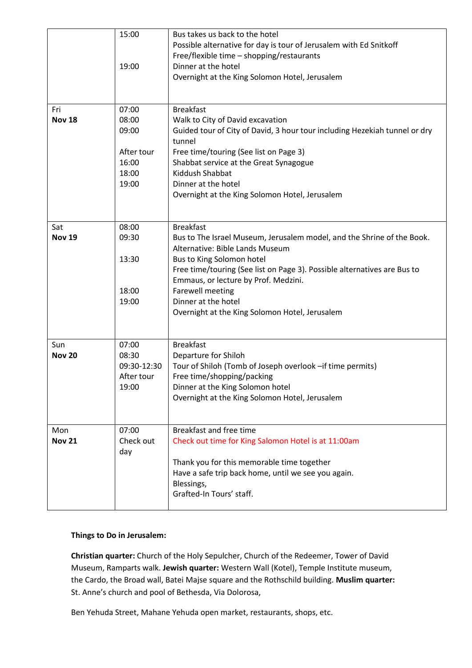|                      | 15:00<br>19:00                                                   | Bus takes us back to the hotel<br>Possible alternative for day is tour of Jerusalem with Ed Snitkoff<br>Free/flexible time - shopping/restaurants<br>Dinner at the hotel<br>Overnight at the King Solomon Hotel, Jerusalem                                                                                                                                                         |
|----------------------|------------------------------------------------------------------|------------------------------------------------------------------------------------------------------------------------------------------------------------------------------------------------------------------------------------------------------------------------------------------------------------------------------------------------------------------------------------|
| Fri<br><b>Nov 18</b> | 07:00<br>08:00<br>09:00<br>After tour<br>16:00<br>18:00<br>19:00 | <b>Breakfast</b><br>Walk to City of David excavation<br>Guided tour of City of David, 3 hour tour including Hezekiah tunnel or dry<br>tunnel<br>Free time/touring (See list on Page 3)<br>Shabbat service at the Great Synagogue<br>Kiddush Shabbat<br>Dinner at the hotel<br>Overnight at the King Solomon Hotel, Jerusalem                                                       |
| Sat<br><b>Nov 19</b> | 08:00<br>09:30<br>13:30<br>18:00<br>19:00                        | <b>Breakfast</b><br>Bus to The Israel Museum, Jerusalem model, and the Shrine of the Book.<br>Alternative: Bible Lands Museum<br>Bus to King Solomon hotel<br>Free time/touring (See list on Page 3). Possible alternatives are Bus to<br>Emmaus, or lecture by Prof. Medzini.<br><b>Farewell meeting</b><br>Dinner at the hotel<br>Overnight at the King Solomon Hotel, Jerusalem |
| Sun<br><b>Nov 20</b> | 07:00<br>08:30<br>09:30-12:30<br>After tour<br>19:00             | <b>Breakfast</b><br>Departure for Shiloh<br>Tour of Shiloh (Tomb of Joseph overlook -if time permits)<br>Free time/shopping/packing<br>Dinner at the King Solomon hotel<br>Overnight at the King Solomon Hotel, Jerusalem                                                                                                                                                          |
| Mon<br><b>Nov 21</b> | 07:00<br>Check out<br>day                                        | Breakfast and free time<br>Check out time for King Salomon Hotel is at 11:00am<br>Thank you for this memorable time together<br>Have a safe trip back home, until we see you again.<br>Blessings,<br>Grafted-In Tours' staff.                                                                                                                                                      |

## **Things to Do in Jerusalem:**

**Christian quarter:** Church of the Holy Sepulcher, Church of the Redeemer, Tower of David Museum, Ramparts walk. **Jewish quarter:** Western Wall (Kotel), Temple Institute museum, the Cardo, the Broad wall, Batei Majse square and the Rothschild building. **Muslim quarter:** St. Anne's church and pool of Bethesda, Via Dolorosa,

Ben Yehuda Street, Mahane Yehuda open market, restaurants, shops, etc.